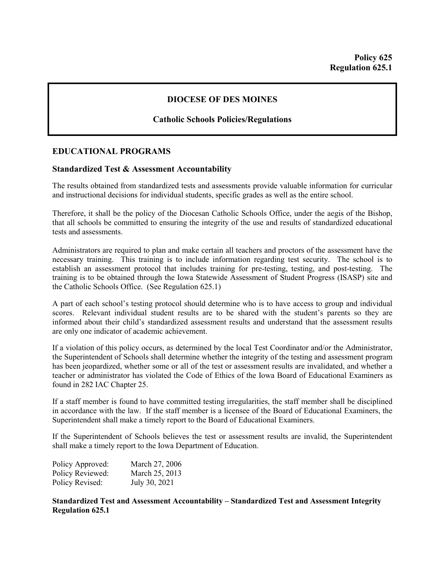## **DIOCESE OF DES MOINES**

## **Catholic Schools Policies/Regulations**

## **EDUCATIONAL PROGRAMS**

## **Standardized Test & Assessment Accountability**

The results obtained from standardized tests and assessments provide valuable information for curricular and instructional decisions for individual students, specific grades as well as the entire school.

Therefore, it shall be the policy of the Diocesan Catholic Schools Office, under the aegis of the Bishop, that all schools be committed to ensuring the integrity of the use and results of standardized educational tests and assessments.

Administrators are required to plan and make certain all teachers and proctors of the assessment have the necessary training. This training is to include information regarding test security. The school is to establish an assessment protocol that includes training for pre-testing, testing, and post-testing. The training is to be obtained through the Iowa Statewide Assessment of Student Progress (ISASP) site and the Catholic Schools Office. (See Regulation 625.1)

A part of each school's testing protocol should determine who is to have access to group and individual scores. Relevant individual student results are to be shared with the student's parents so they are informed about their child's standardized assessment results and understand that the assessment results are only one indicator of academic achievement.

If a violation of this policy occurs, as determined by the local Test Coordinator and/or the Administrator, the Superintendent of Schools shall determine whether the integrity of the testing and assessment program has been jeopardized, whether some or all of the test or assessment results are invalidated, and whether a teacher or administrator has violated the Code of Ethics of the Iowa Board of Educational Examiners as found in 282 IAC Chapter 25.

If a staff member is found to have committed testing irregularities, the staff member shall be disciplined in accordance with the law. If the staff member is a licensee of the Board of Educational Examiners, the Superintendent shall make a timely report to the Board of Educational Examiners.

If the Superintendent of Schools believes the test or assessment results are invalid, the Superintendent shall make a timely report to the Iowa Department of Education.

| Policy Approved: | March 27, 2006 |
|------------------|----------------|
| Policy Reviewed: | March 25, 2013 |
| Policy Revised:  | July 30, 2021  |

**Standardized Test and Assessment Accountability – Standardized Test and Assessment Integrity Regulation 625.1**